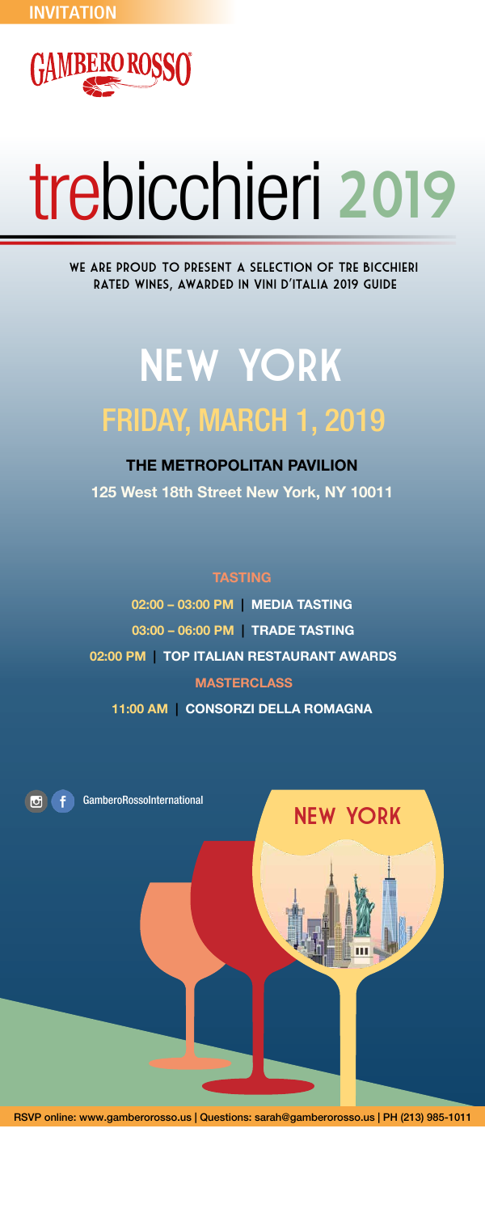

# trebicchieri 2019

We are proud to present a selection of Tre Bicchieri rated wines, awarded in Vini d'Italia 2019 guide

## NEW YORK FRIDAY, MARCH 1, 2019

#### THE METROPOLITAN PAVILION

125 West 18th Street New York, NY 10011

**TASTING** 



02:00 – 03:00 PM | MEDIA TASTING

03:00 – 06:00 PM | TRADE TASTING

02:00 PM | TOP ITALIAN RESTAURANT AWARDS

**MASTERCLASS** 

11:00 AM | CONSORZI DELLA ROMAGNA

RSVP online: www.gamberorosso.us | Questions: sarah@gamberorosso.us | PH (213) 985-1011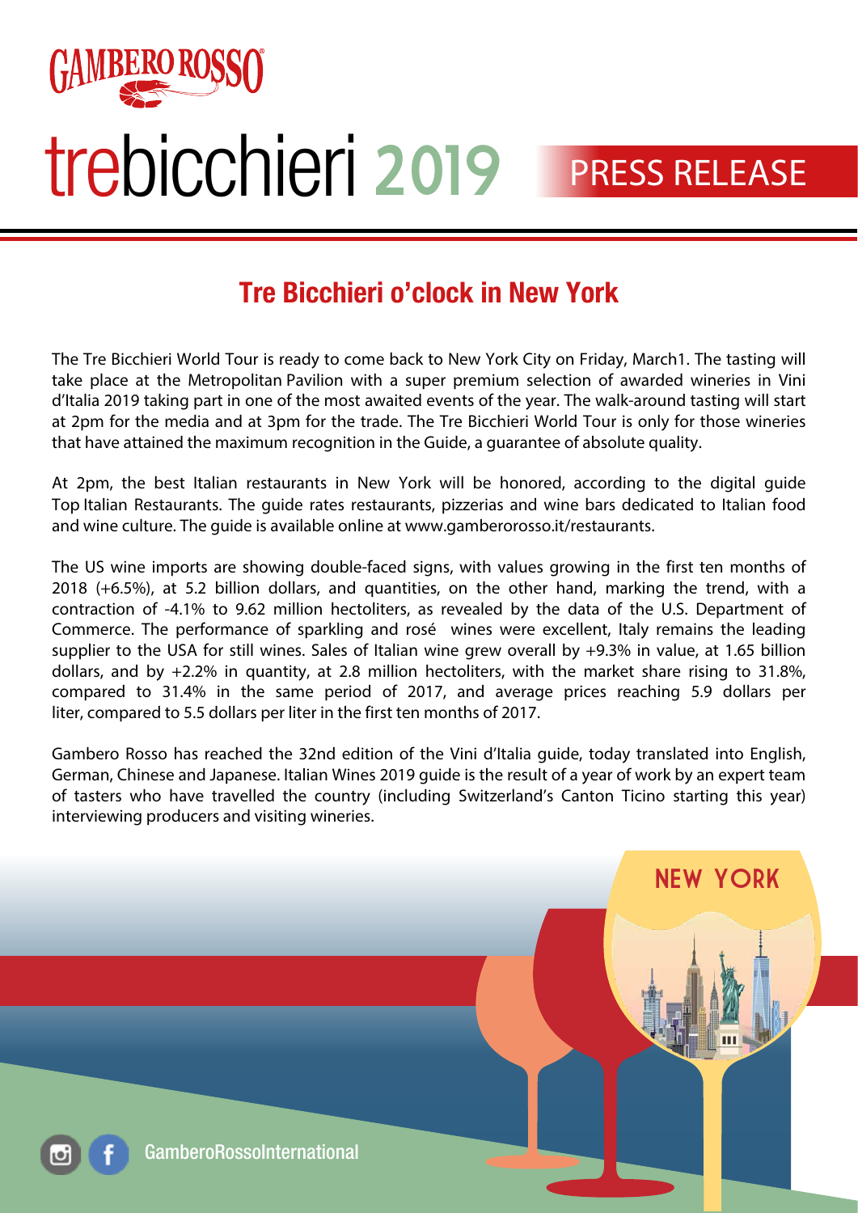

## trebicchieri 2019

#### PRESS RELEASE

#### Tre Bicchieri o'clock in New York

The Tre Bicchieri World Tour is ready to come back to New York City on Friday, March1. The tasting will take place at the Metropolitan Pavilion with a super premium selection of awarded wineries in Vini d'Italia 2019 taking part in one of the most awaited events of the year. The walk-around tasting will start at 2pm for the media and at 3pm for the trade. The Tre Bicchieri World Tour is only for those wineries that have attained the maximum recognition in the Guide, a guarantee of absolute quality.

At 2pm, the best Italian restaurants in New York will be honored, according to the digital guide Top Italian Restaurants. The guide rates restaurants, pizzerias and wine bars dedicated to Italian food and wine culture. The guide is available online at www.gamberorosso.it/restaurants.

The US wine imports are showing double-faced signs, with values growing in the first ten months of 2018 (+6.5%), at 5.2 billion dollars, and quantities, on the other hand, marking the trend, with a contraction of -4.1% to 9.62 million hectoliters, as revealed by the data of the U.S. Department of Commerce. The performance of sparkling and rosé wines were excellent, Italy remains the leading supplier to the USA for still wines. Sales of Italian wine grew overall by +9.3% in value, at 1.65 billion dollars, and by +2.2% in quantity, at 2.8 million hectoliters, with the market share rising to 31.8%, compared to 31.4% in the same period of 2017, and average prices reaching 5.9 dollars per liter, compared to 5.5 dollars per liter in the first ten months of 2017.

Gambero Rosso has reached the 32nd edition of the Vini d'Italia guide, today translated into English, German, Chinese and Japanese. Italian Wines 2019 guide is the result of a year of work by an expert team of tasters who have travelled the country (including Switzerland's Canton Ticino starting this year) interviewing producers and visiting wineries.

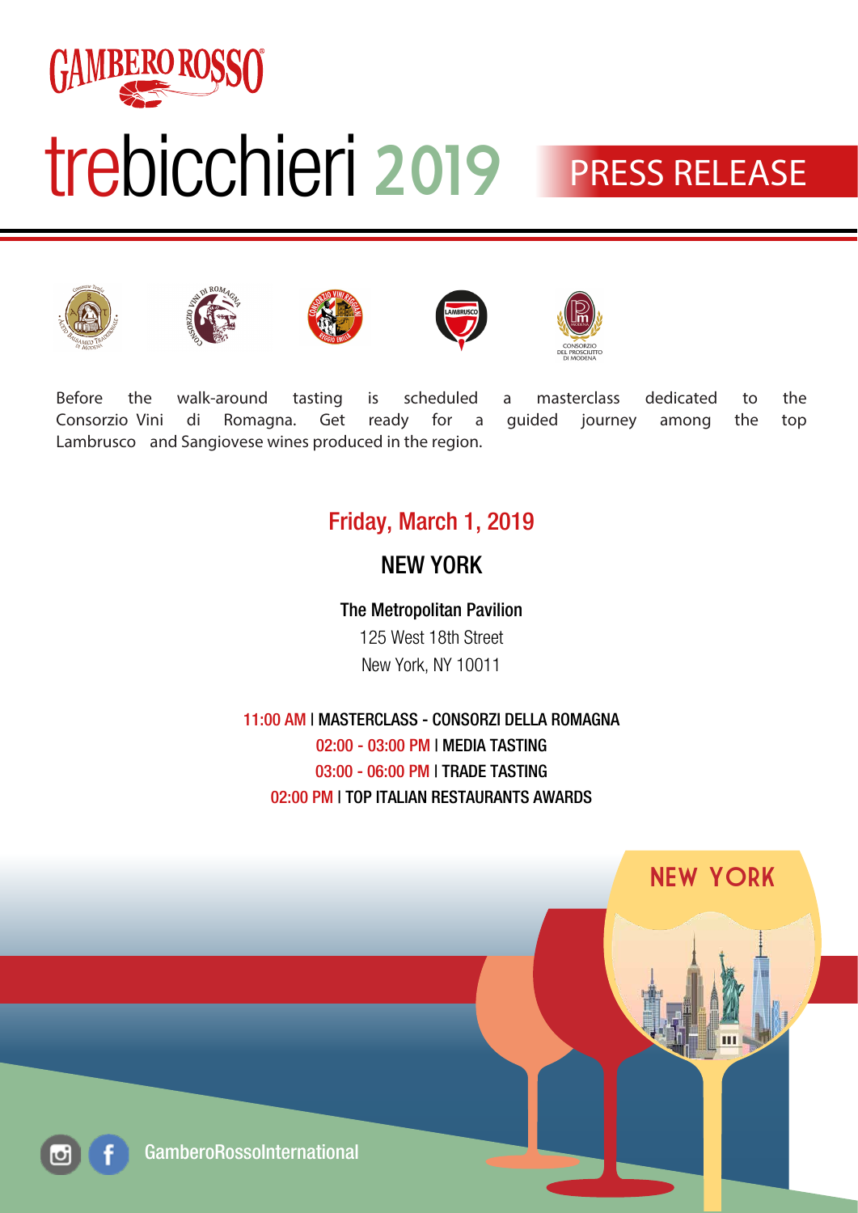

### trebicchieri 2019

### **PRESS RELEASE**











Before the walk-around tasting is scheduled a masterclass dedicated to the Consorzio Vini di Romagna. Get ready for a guided journey among the top Lambrusco and Sangiovese wines produced in the region.

#### Friday, March 1, 2019

#### NEW YORK

The Metropolitan Pavilion 125 West 18th Street New York, NY 10011

11:00 AM | MASTERCLASS - CONSORZI DELLA ROMAGNA 02:00 - 03:00 PM | MEDIA TASTING 03:00 - 06:00 PM | TRADE TASTING 02:00 PM | TOP ITALIAN RESTAURANTS AWARDS